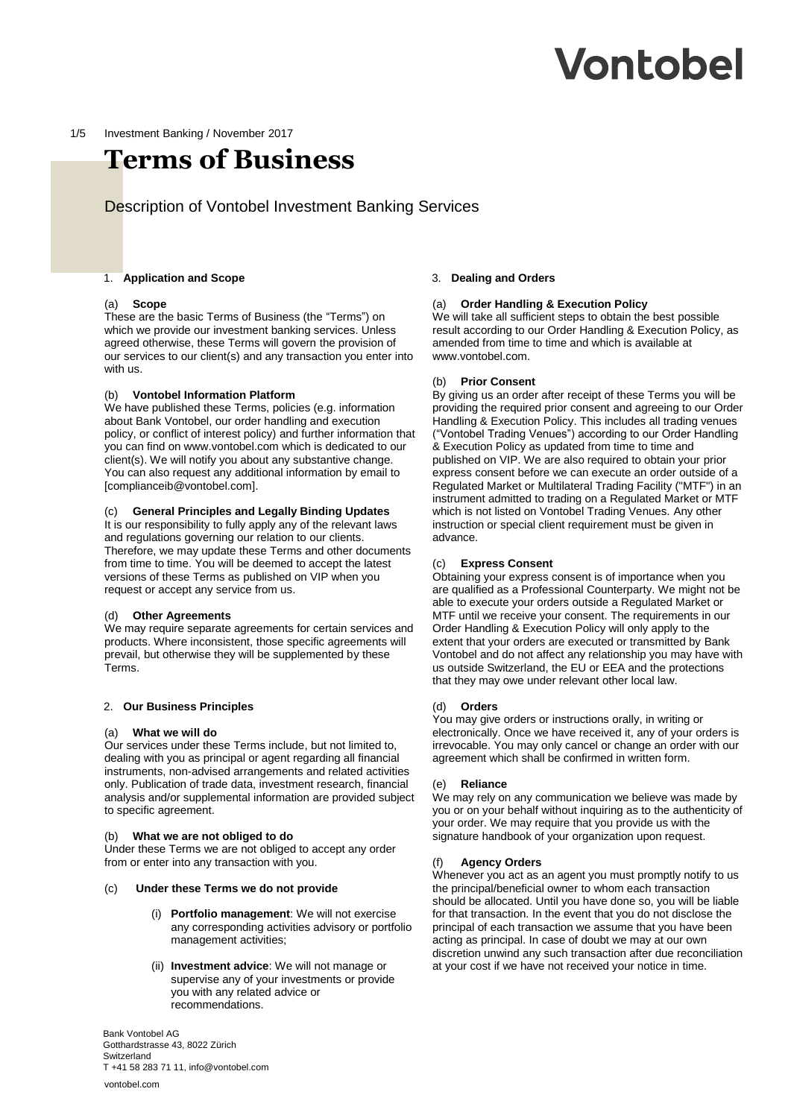# **Vontobel**

#### 1/5 Investment Banking / November 2017

# **Terms of Business**

# Description of Vontobel Investment Banking Services

#### 1. **Application and Scope**

#### (a) **Scope**

These are the basic Terms of Business (the "Terms") on which we provide our investment banking services. Unless agreed otherwise, these Terms will govern the provision of our services to our client(s) and any transaction you enter into with us.

#### (b) **Vontobel Information Platform**

We have published these Terms, policies (e.g. information about Bank Vontobel, our order handling and execution policy, or conflict of interest policy) and further information that you can find on www.vontobel.com which is dedicated to our client(s). We will notify you about any substantive change. You can also request any additional information by email to [complianceib@vontobel.com].

#### (c) **General Principles and Legally Binding Updates**

It is our responsibility to fully apply any of the relevant laws and regulations governing our relation to our clients. Therefore, we may update these Terms and other documents from time to time. You will be deemed to accept the latest versions of these Terms as published on VIP when you request or accept any service from us.

# (d) **Other Agreements**

We may require separate agreements for certain services and products. Where inconsistent, those specific agreements will prevail, but otherwise they will be supplemented by these Terms.

#### 2. **Our Business Principles**

#### (a) **What we will do**

Our services under these Terms include, but not limited to, dealing with you as principal or agent regarding all financial instruments, non-advised arrangements and related activities only. Publication of trade data, investment research, financial analysis and/or supplemental information are provided subject to specific agreement.

#### (b) **What we are not obliged to do**

Under these Terms we are not obliged to accept any order from or enter into any transaction with you.

#### (c) **Under these Terms we do not provide**

- (i) **Portfolio management**: We will not exercise any corresponding activities advisory or portfolio management activities;
- (ii) **Investment advice**: We will not manage or supervise any of your investments or provide you with any related advice or recommendations.

Bank Vontobel AG Gotthardstrasse 43, 8022 Zürich Switzerland T +41 58 283 71 11, info@vontobel.com

#### vontobel.com

#### 3. **Dealing and Orders**

#### (a) **Order Handling & Execution Policy**

We will take all sufficient steps to obtain the best possible result according to our Order Handling & Execution Policy, as amended from time to time and which is available at www.vontobel.com.

#### (b) **Prior Consent**

By giving us an order after receipt of these Terms you will be providing the required prior consent and agreeing to our Order Handling & Execution Policy. This includes all trading venues ("Vontobel Trading Venues") according to our Order Handling & Execution Policy as updated from time to time and published on VIP. We are also required to obtain your prior express consent before we can execute an order outside of a Regulated Market or Multilateral Trading Facility ("MTF") in an instrument admitted to trading on a Regulated Market or MTF which is not listed on Vontobel Trading Venues. Any other instruction or special client requirement must be given in advance.

#### (c) **Express Consent**

Obtaining your express consent is of importance when you are qualified as a Professional Counterparty. We might not be able to execute your orders outside a Regulated Market or MTF until we receive your consent. The requirements in our Order Handling & Execution Policy will only apply to the extent that your orders are executed or transmitted by Bank Vontobel and do not affect any relationship you may have with us outside Switzerland, the EU or EEA and the protections that they may owe under relevant other local law.

#### (d) **Orders**

You may give orders or instructions orally, in writing or electronically. Once we have received it, any of your orders is irrevocable. You may only cancel or change an order with our agreement which shall be confirmed in written form.

#### (e) **Reliance**

We may rely on any communication we believe was made by you or on your behalf without inquiring as to the authenticity of your order. We may require that you provide us with the signature handbook of your organization upon request.

#### (f) **Agency Orders**

Whenever you act as an agent you must promptly notify to us the principal/beneficial owner to whom each transaction should be allocated. Until you have done so, you will be liable for that transaction. In the event that you do not disclose the principal of each transaction we assume that you have been acting as principal. In case of doubt we may at our own discretion unwind any such transaction after due reconciliation at your cost if we have not received your notice in time.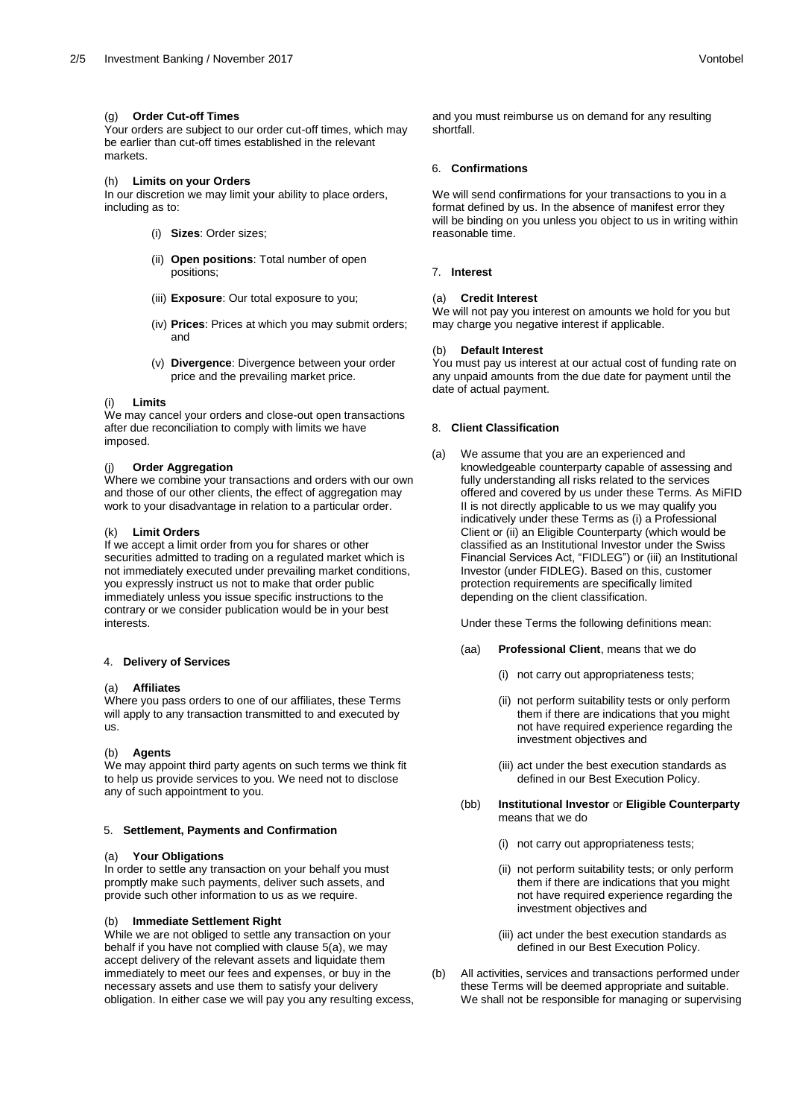# (g) **Order Cut-off Times**

Your orders are subject to our order cut-off times, which may be earlier than cut-off times established in the relevant markets.

# (h) **Limits on your Orders**

In our discretion we may limit your ability to place orders, including as to:

- (i) **Sizes**: Order sizes;
- (ii) **Open positions**: Total number of open positions;
- (iii) **Exposure**: Our total exposure to you;
- (iv) **Prices**: Prices at which you may submit orders; and
- (v) **Divergence**: Divergence between your order price and the prevailing market price.

# (i) **Limits**

We may cancel your orders and close-out open transactions after due reconciliation to comply with limits we have imposed.

# **Order Aggregation**

Where we combine your transactions and orders with our own and those of our other clients, the effect of aggregation may work to your disadvantage in relation to a particular order.

# (k) **Limit Orders**

If we accept a limit order from you for shares or other securities admitted to trading on a regulated market which is not immediately executed under prevailing market conditions, you expressly instruct us not to make that order public immediately unless you issue specific instructions to the contrary or we consider publication would be in your best interests.

# 4. **Delivery of Services**

# (a) **Affiliates**

Where you pass orders to one of our affiliates, these Terms will apply to any transaction transmitted to and executed by us.

# (b) **Agents**

We may appoint third party agents on such terms we think fit to help us provide services to you. We need not to disclose any of such appointment to you.

# 5. **Settlement, Payments and Confirmation**

# **Your Obligations**

In order to settle any transaction on your behalf you must promptly make such payments, deliver such assets, and provide such other information to us as we require.

# (b) **Immediate Settlement Right**

While we are not obliged to settle any transaction on your behalf if you have not complied with clause 5(a), we may accept delivery of the relevant assets and liquidate them immediately to meet our fees and expenses, or buy in the necessary assets and use them to satisfy your delivery obligation. In either case we will pay you any resulting excess,

and you must reimburse us on demand for any resulting shortfall.

# 6. **Confirmations**

We will send confirmations for your transactions to you in a format defined by us. In the absence of manifest error they will be binding on you unless you object to us in writing within reasonable time.

# 7. **Interest**

# (a) **Credit Interest**

We will not pay you interest on amounts we hold for you but may charge you negative interest if applicable.

# (b) **Default Interest**

You must pay us interest at our actual cost of funding rate on any unpaid amounts from the due date for payment until the date of actual payment.

# 8. **Client Classification**

(a) We assume that you are an experienced and knowledgeable counterparty capable of assessing and fully understanding all risks related to the services offered and covered by us under these Terms. As MiFID II is not directly applicable to us we may qualify you indicatively under these Terms as (i) a Professional Client or (ii) an Eligible Counterparty (which would be classified as an Institutional Investor under the Swiss Financial Services Act, "FIDLEG") or (iii) an Institutional Investor (under FIDLEG). Based on this, customer protection requirements are specifically limited depending on the client classification.

Under these Terms the following definitions mean:

- (aa) **Professional Client**, means that we do
	- (i) not carry out appropriateness tests;
	- (ii) not perform suitability tests or only perform them if there are indications that you might not have required experience regarding the investment objectives and
	- (iii) act under the best execution standards as defined in our Best Execution Policy.
- (bb) **Institutional Investor** or **Eligible Counterparty** means that we do
	- (i) not carry out appropriateness tests;
	- (ii) not perform suitability tests; or only perform them if there are indications that you might not have required experience regarding the investment objectives and
	- (iii) act under the best execution standards as defined in our Best Execution Policy.
- (b) All activities, services and transactions performed under these Terms will be deemed appropriate and suitable. We shall not be responsible for managing or supervising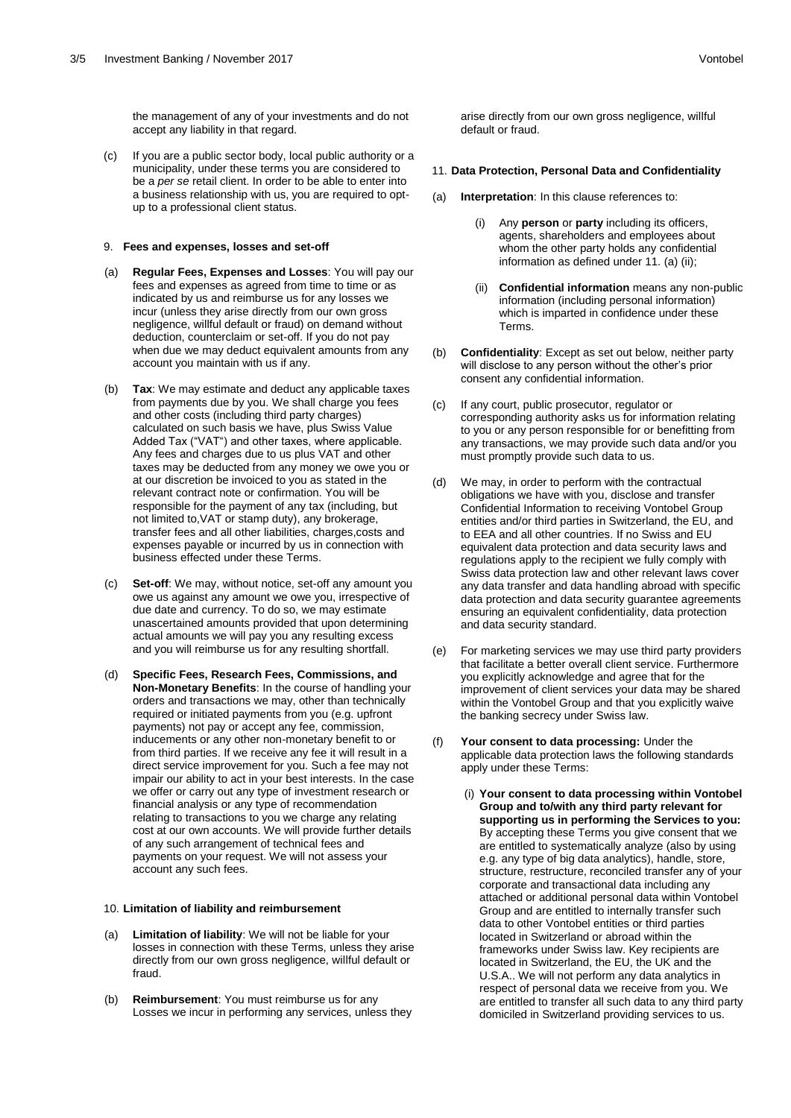the management of any of your investments and do not accept any liability in that regard.

(c) If you are a public sector body, local public authority or a municipality, under these terms you are considered to be a *per se* retail client. In order to be able to enter into a business relationship with us, you are required to optup to a professional client status.

# 9. **Fees and expenses, losses and set-off**

- (a) **Regular Fees, Expenses and Losses**: You will pay our fees and expenses as agreed from time to time or as indicated by us and reimburse us for any losses we incur (unless they arise directly from our own gross negligence, willful default or fraud) on demand without deduction, counterclaim or set-off. If you do not pay when due we may deduct equivalent amounts from any account you maintain with us if any.
- (b) **Tax**: We may estimate and deduct any applicable taxes from payments due by you. We shall charge you fees and other costs (including third party charges) calculated on such basis we have, plus Swiss Value Added Tax ("VAT") and other taxes, where applicable. Any fees and charges due to us plus VAT and other taxes may be deducted from any money we owe you or at our discretion be invoiced to you as stated in the relevant contract note or confirmation. You will be responsible for the payment of any tax (including, but not limited to,VAT or stamp duty), any brokerage, transfer fees and all other liabilities, charges,costs and expenses payable or incurred by us in connection with business effected under these Terms.
- (c) **Set-off**: We may, without notice, set-off any amount you owe us against any amount we owe you, irrespective of due date and currency. To do so, we may estimate unascertained amounts provided that upon determining actual amounts we will pay you any resulting excess and you will reimburse us for any resulting shortfall.
- (d) **Specific Fees, Research Fees, Commissions, and Non-Monetary Benefits**: In the course of handling your orders and transactions we may, other than technically required or initiated payments from you (e.g. upfront payments) not pay or accept any fee, commission, inducements or any other non-monetary benefit to or from third parties. If we receive any fee it will result in a direct service improvement for you. Such a fee may not impair our ability to act in your best interests. In the case we offer or carry out any type of investment research or financial analysis or any type of recommendation relating to transactions to you we charge any relating cost at our own accounts. We will provide further details of any such arrangement of technical fees and payments on your request. We will not assess your account any such fees.

# 10. **Limitation of liability and reimbursement**

- Limitation of liability: We will not be liable for your losses in connection with these Terms, unless they arise directly from our own gross negligence, willful default or fraud.
- (b) **Reimbursement**: You must reimburse us for any Losses we incur in performing any services, unless they

arise directly from our own gross negligence, willful default or fraud.

#### 11. **Data Protection, Personal Data and Confidentiality**

- Interpretation: In this clause references to:
	- (i) Any **person** or **party** including its officers, agents, shareholders and employees about whom the other party holds any confidential information as defined under 11. (a) (ii);
	- (ii) **Confidential information** means any non-public information (including personal information) which is imparted in confidence under these Terms.
- (b) **Confidentiality**: Except as set out below, neither party will disclose to any person without the other's prior consent any confidential information.
- (c) If any court, public prosecutor, regulator or corresponding authority asks us for information relating to you or any person responsible for or benefitting from any transactions, we may provide such data and/or you must promptly provide such data to us.
- (d) We may, in order to perform with the contractual obligations we have with you, disclose and transfer Confidential Information to receiving Vontobel Group entities and/or third parties in Switzerland, the EU, and to EEA and all other countries. If no Swiss and EU equivalent data protection and data security laws and regulations apply to the recipient we fully comply with Swiss data protection law and other relevant laws cover any data transfer and data handling abroad with specific data protection and data security guarantee agreements ensuring an equivalent confidentiality, data protection and data security standard.
- (e) For marketing services we may use third party providers that facilitate a better overall client service. Furthermore you explicitly acknowledge and agree that for the improvement of client services your data may be shared within the Vontobel Group and that you explicitly waive the banking secrecy under Swiss law.
- (f) **Your consent to data processing:** Under the applicable data protection laws the following standards apply under these Terms:
	- (i) **Your consent to data processing within Vontobel Group and to/with any third party relevant for supporting us in performing the Services to you:**  By accepting these Terms you give consent that we are entitled to systematically analyze (also by using e.g. any type of big data analytics), handle, store, structure, restructure, reconciled transfer any of your corporate and transactional data including any attached or additional personal data within Vontobel Group and are entitled to internally transfer such data to other Vontobel entities or third parties located in Switzerland or abroad within the frameworks under Swiss law. Key recipients are located in Switzerland, the EU, the UK and the U.S.A.. We will not perform any data analytics in respect of personal data we receive from you. We are entitled to transfer all such data to any third party domiciled in Switzerland providing services to us.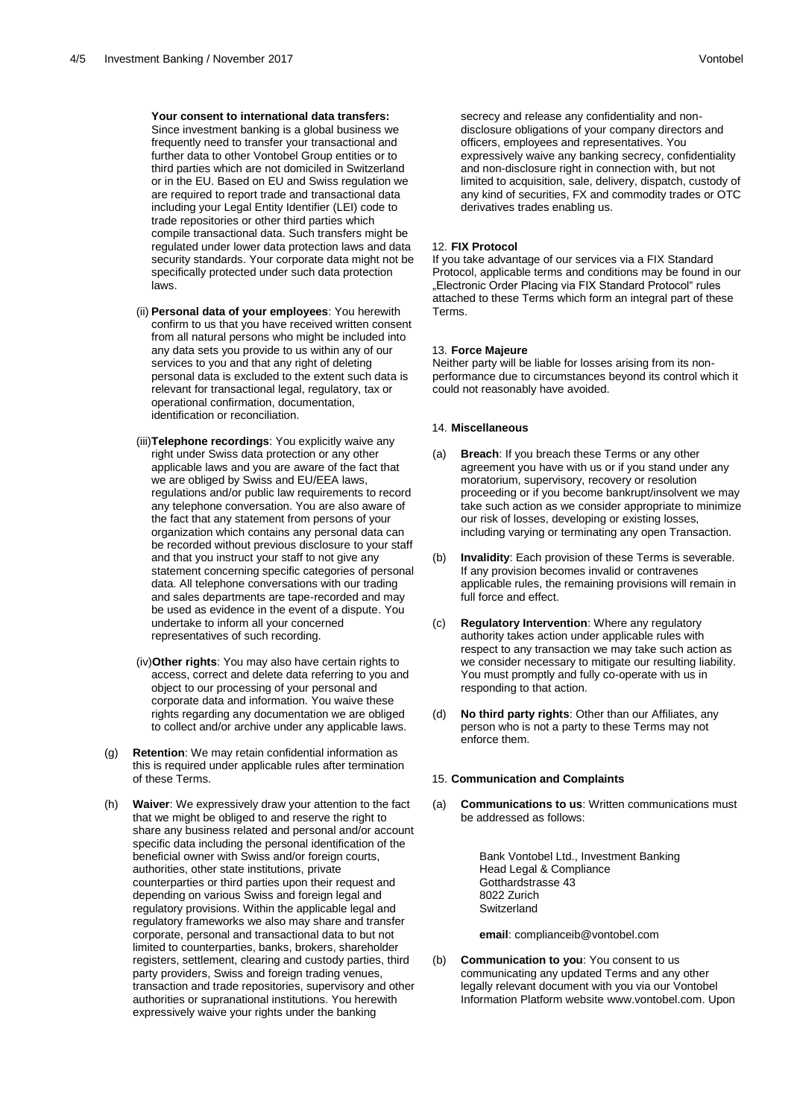# **Your consent to international data transfers:**

Since investment banking is a global business we frequently need to transfer your transactional and further data to other Vontobel Group entities or to third parties which are not domiciled in Switzerland or in the EU. Based on EU and Swiss regulation we are required to report trade and transactional data including your Legal Entity Identifier (LEI) code to trade repositories or other third parties which compile transactional data. Such transfers might be regulated under lower data protection laws and data security standards. Your corporate data might not be specifically protected under such data protection laws.

- (ii) **Personal data of your employees**: You herewith confirm to us that you have received written consent from all natural persons who might be included into any data sets you provide to us within any of our services to you and that any right of deleting personal data is excluded to the extent such data is relevant for transactional legal, regulatory, tax or operational confirmation, documentation, identification or reconciliation.
- (iii)**Telephone recordings**: You explicitly waive any right under Swiss data protection or any other applicable laws and you are aware of the fact that we are obliged by Swiss and EU/EEA laws, regulations and/or public law requirements to record any telephone conversation. You are also aware of the fact that any statement from persons of your organization which contains any personal data can be recorded without previous disclosure to your staff and that you instruct your staff to not give any statement concerning specific categories of personal data. All telephone conversations with our trading and sales departments are tape-recorded and may be used as evidence in the event of a dispute. You undertake to inform all your concerned representatives of such recording.
- (iv)**Other rights**: You may also have certain rights to access, correct and delete data referring to you and object to our processing of your personal and corporate data and information. You waive these rights regarding any documentation we are obliged to collect and/or archive under any applicable laws.
- (g) **Retention**: We may retain confidential information as this is required under applicable rules after termination of these Terms.
- (h) **Waiver**: We expressively draw your attention to the fact that we might be obliged to and reserve the right to share any business related and personal and/or account specific data including the personal identification of the beneficial owner with Swiss and/or foreign courts, authorities, other state institutions, private counterparties or third parties upon their request and depending on various Swiss and foreign legal and regulatory provisions. Within the applicable legal and regulatory frameworks we also may share and transfer corporate, personal and transactional data to but not limited to counterparties, banks, brokers, shareholder registers, settlement, clearing and custody parties, third party providers, Swiss and foreign trading venues, transaction and trade repositories, supervisory and other authorities or supranational institutions. You herewith expressively waive your rights under the banking

secrecy and release any confidentiality and nondisclosure obligations of your company directors and officers, employees and representatives. You expressively waive any banking secrecy, confidentiality and non-disclosure right in connection with, but not limited to acquisition, sale, delivery, dispatch, custody of any kind of securities, FX and commodity trades or OTC derivatives trades enabling us.

#### 12. **FIX Protocol**

If you take advantage of our services via a FIX Standard Protocol, applicable terms and conditions may be found in our "Electronic Order Placing via FIX Standard Protocol" rules attached to these Terms which form an integral part of these Terms.

#### 13. **Force Majeure**

Neither party will be liable for losses arising from its nonperformance due to circumstances beyond its control which it could not reasonably have avoided.

# 14. **Miscellaneous**

- (a) **Breach**: If you breach these Terms or any other agreement you have with us or if you stand under any moratorium, supervisory, recovery or resolution proceeding or if you become bankrupt/insolvent we may take such action as we consider appropriate to minimize our risk of losses, developing or existing losses, including varying or terminating any open Transaction.
- (b) **Invalidity**: Each provision of these Terms is severable. If any provision becomes invalid or contravenes applicable rules, the remaining provisions will remain in full force and effect.
- (c) **Regulatory Intervention**: Where any regulatory authority takes action under applicable rules with respect to any transaction we may take such action as we consider necessary to mitigate our resulting liability. You must promptly and fully co-operate with us in responding to that action.
- (d) **No third party rights**: Other than our Affiliates, any person who is not a party to these Terms may not enforce them.

#### 15. **Communication and Complaints**

(a) **Communications to us**: Written communications must be addressed as follows:

> Bank Vontobel Ltd., Investment Banking Head Legal & Compliance Gotthardstrasse 43 8022 Zurich **Switzerland**

**email**: complianceib@vontobel.com

(b) **Communication to you**: You consent to us communicating any updated Terms and any other legally relevant document with you via our Vontobel Information Platform website www.vontobel.com. Upon